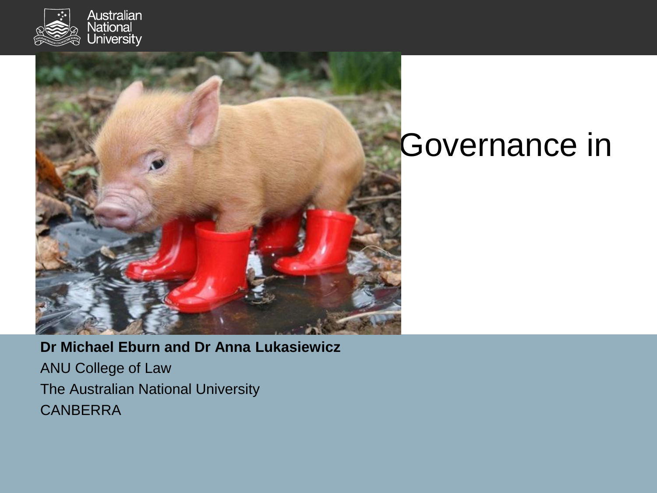



#### **Governance in**

**Dr Michael Eburn and Dr Anna Lukasiewicz**  ANU College of Law The Australian National University **CANBERRA**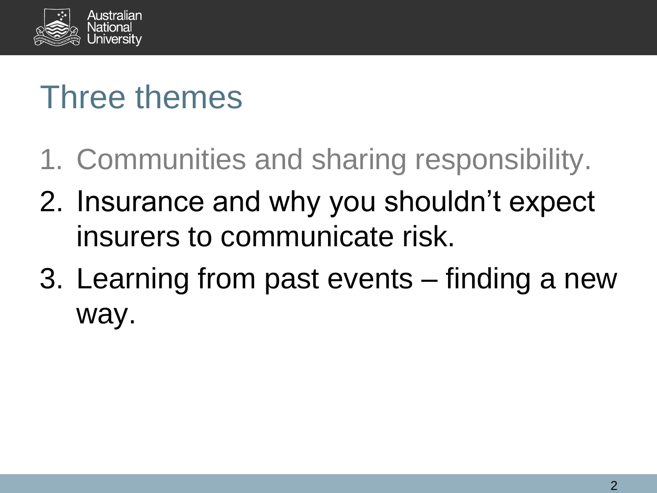

## Three themes

- 1. Communities and sharing responsibility.
- 2. Insurance and why you shouldn't expect insurers to communicate risk.
- 3. Learning from past events finding a new way.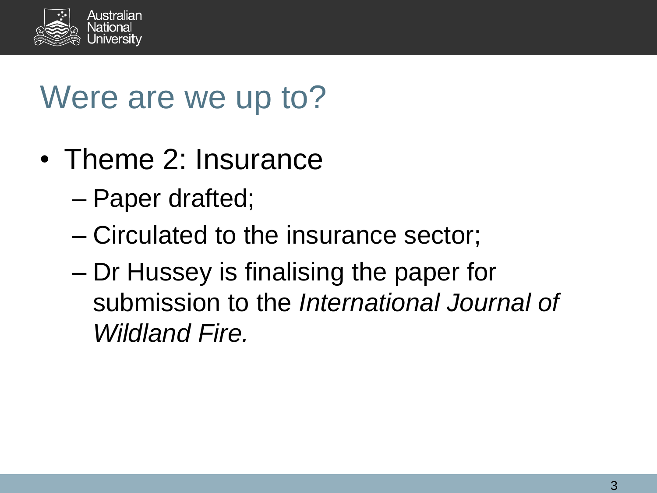

## Were are we up to?

- Theme 2: Insurance
	- Paper drafted;
	- Circulated to the insurance sector;
	- Dr Hussey is finalising the paper for submission to the *International Journal of Wildland Fire.*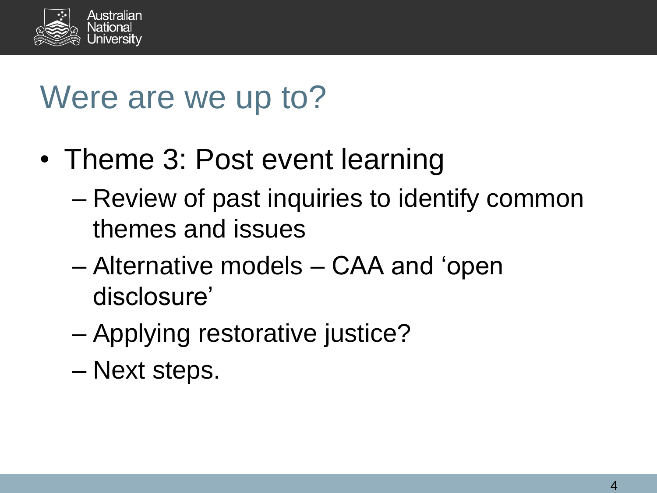

### Were are we up to?

- Theme 3: Post event learning
	- Review of past inquiries to identify common themes and issues
	- Alternative models CAA and 'open disclosure'
	- Applying restorative justice?
	- Next steps.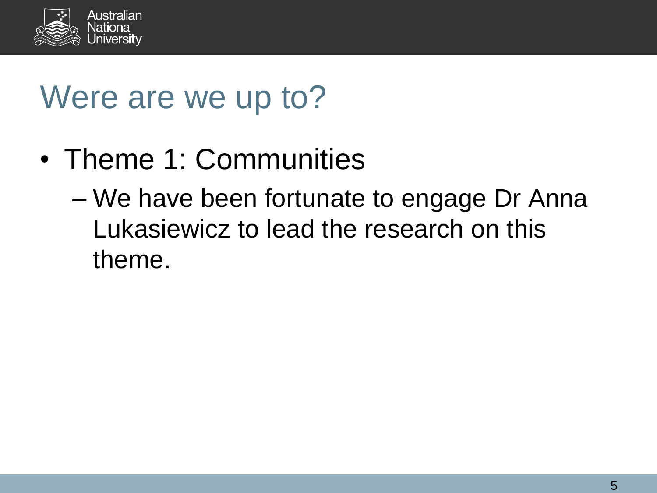

### Were are we up to?

- Theme 1: Communities
	- We have been fortunate to engage Dr Anna Lukasiewicz to lead the research on this theme.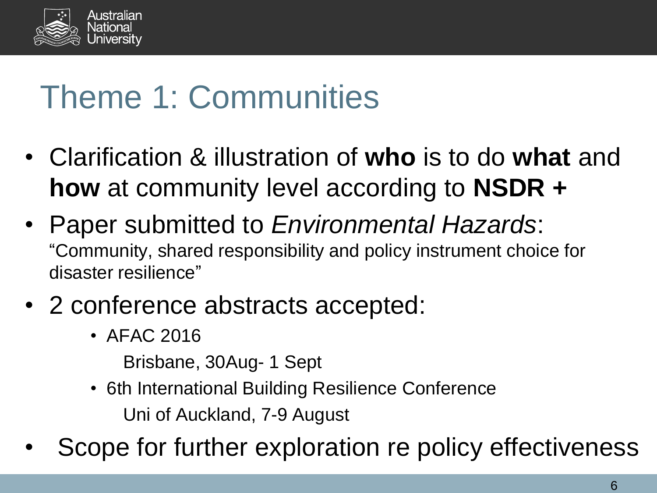

## Theme 1: Communities

- Clarification & illustration of **who** is to do **what** and **how** at community level according to **NSDR +**
- Paper submitted to *Environmental Hazards*: "Community, shared responsibility and policy instrument choice for disaster resilience"
- 2 conference abstracts accepted:
	- AFAC 2016

Brisbane, 30Aug- 1 Sept

- 6th International Building Resilience Conference Uni of Auckland, 7-9 August
- Scope for further exploration re policy effectiveness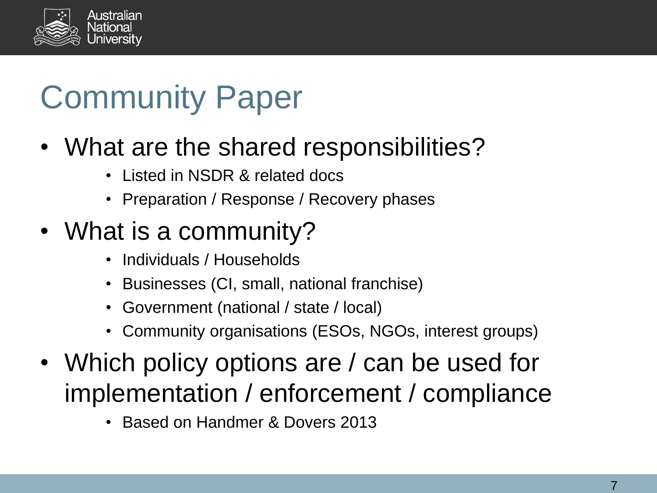

## Community Paper

#### • What are the shared responsibilities?

- Listed in NSDR & related docs
- Preparation / Response / Recovery phases

#### • What is a community?

- Individuals / Households
- Businesses (CI, small, national franchise)
- Government (national / state / local)
- Community organisations (ESOs, NGOs, interest groups)
- Which policy options are / can be used for implementation / enforcement / compliance
	- Based on Handmer & Dovers 2013